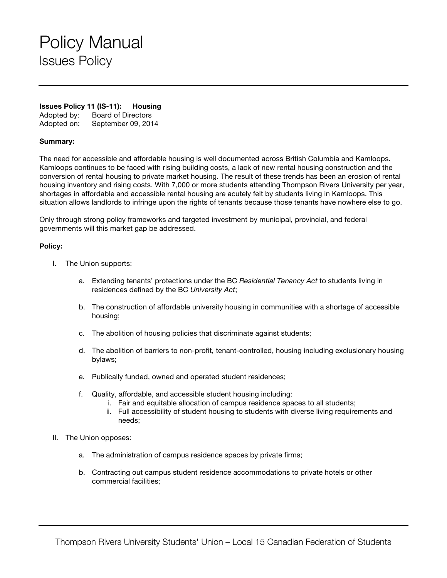## Policy Manual Issues Policy

### **Issues Policy 11 (IS-11): Housing**

Adopted by: Board of Directors Adopted on: September 09, 2014

#### **Summary:**

The need for accessible and affordable housing is well documented across British Columbia and Kamloops. Kamloops continues to be faced with rising building costs, a lack of new rental housing construction and the conversion of rental housing to private market housing. The result of these trends has been an erosion of rental housing inventory and rising costs. With 7,000 or more students attending Thompson Rivers University per year, shortages in affordable and accessible rental housing are acutely felt by students living in Kamloops. This situation allows landlords to infringe upon the rights of tenants because those tenants have nowhere else to go.

Only through strong policy frameworks and targeted investment by municipal, provincial, and federal governments will this market gap be addressed.

#### **Policy:**

- I. The Union supports:
	- a. Extending tenants' protections under the BC *Residential Tenancy Act* to students living in residences defined by the BC *University Act*;
	- b. The construction of affordable university housing in communities with a shortage of accessible housing;
	- c. The abolition of housing policies that discriminate against students;
	- d. The abolition of barriers to non-profit, tenant-controlled, housing including exclusionary housing bylaws;
	- e. Publically funded, owned and operated student residences;
	- f. Quality, affordable, and accessible student housing including:
		- i. Fair and equitable allocation of campus residence spaces to all students;
		- ii. Full accessibility of student housing to students with diverse living requirements and needs;
- II. The Union opposes:
	- a. The administration of campus residence spaces by private firms;
	- b. Contracting out campus student residence accommodations to private hotels or other commercial facilities;